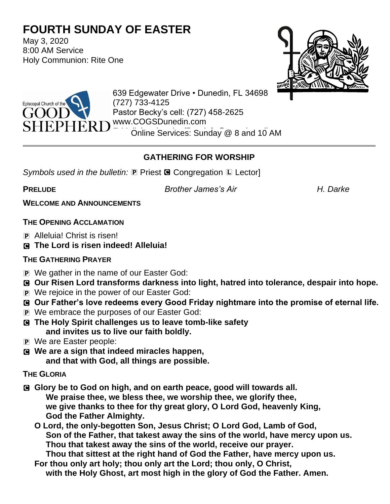# **FOURTH SUNDAY OF EASTER**

May 3, 2020 8:00 AM Service Holy Communion: Rite One





Online Services: Sunday @ 8 and 10 AM 639 Edgewater Drive • Dunedin, FL 34698 (727) 733-4125 Pastor Becky's cell: (727) 458-2625 www.COGSDunedin.com

## **GATHERING FOR WORSHIP**

*Symbols used in the bulletin:* **P** Priest **@** Congregation **L** Lector

**PRELUDE** *Brother James's Air H. Darke*

**WELCOME AND ANNOUNCEMENTS**

### **THE OPENING ACCLAMATION**

- P Alleluia! Christ is risen!
- C **The Lord is risen indeed! Alleluia!**

## **THE GATHERING PRAYER**

- P We gather in the name of our Easter God:
- C **Our Risen Lord transforms darkness into light, hatred into tolerance, despair into hope.**
- P We rejoice in the power of our Easter God:
- C **Our Father's love redeems every Good Friday nightmare into the promise of eternal life.**
- P We embrace the purposes of our Easter God:
- C **The Holy Spirit challenges us to leave tomb-like safety and invites us to live our faith boldly.**
- P We are Easter people:
- C **We are a sign that indeed miracles happen, and that with God, all things are possible.**

## **THE GLORIA**

- C **Glory be to God on high, and on earth peace, good will towards all. We praise thee, we bless thee, we worship thee, we glorify thee, we give thanks to thee for thy great glory, O Lord God, heavenly King, God the Father Almighty.**
	- **O Lord, the only-begotten Son, Jesus Christ; O Lord God, Lamb of God, Son of the Father, that takest away the sins of the world, have mercy upon us. Thou that takest away the sins of the world, receive our prayer. Thou that sittest at the right hand of God the Father, have mercy upon us.**
	- **For thou only art holy; thou only art the Lord; thou only, O Christ, with the Holy Ghost, art most high in the glory of God the Father. Amen.**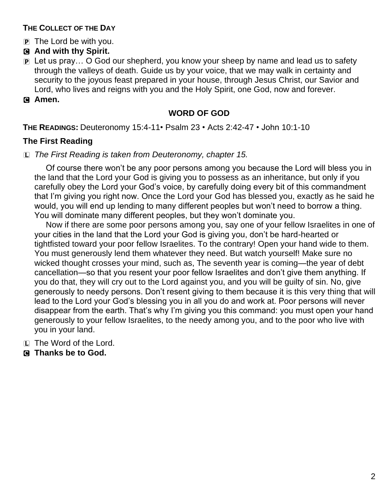#### **THE COLLECT OF THE DAY**

P The Lord be with you.

#### C **And with thy Spirit.**

- P Let us pray… O God our shepherd, you know your sheep by name and lead us to safety through the valleys of death. Guide us by your voice, that we may walk in certainty and security to the joyous feast prepared in your house, through Jesus Christ, our Savior and Lord, who lives and reigns with you and the Holy Spirit, one God, now and forever.
- C **Amen.**

#### **WORD OF GOD**

**THE READINGS:** Deuteronomy 15:4-11• Psalm 23 • Acts 2:42-47 • John 10:1-10

#### **The First Reading**

L *The First Reading is taken from Deuteronomy, chapter 15.*

Of course there won't be any poor persons among you because the Lord will bless you in the land that the Lord your God is giving you to possess as an inheritance, but only if you carefully obey the Lord your God's voice, by carefully doing every bit of this commandment that I'm giving you right now. Once the Lord your God has blessed you, exactly as he said he would, you will end up lending to many different peoples but won't need to borrow a thing. You will dominate many different peoples, but they won't dominate you.

Now if there are some poor persons among you, say one of your fellow Israelites in one of your cities in the land that the Lord your God is giving you, don't be hard-hearted or tightfisted toward your poor fellow Israelites. To the contrary! Open your hand wide to them. You must generously lend them whatever they need. But watch yourself! Make sure no wicked thought crosses your mind, such as, The seventh year is coming—the year of debt cancellation—so that you resent your poor fellow Israelites and don't give them anything. If you do that, they will cry out to the Lord against you, and you will be guilty of sin. No, give generously to needy persons. Don't resent giving to them because it is this very thing that will lead to the Lord your God's blessing you in all you do and work at. Poor persons will never disappear from the earth. That's why I'm giving you this command: you must open your hand generously to your fellow Israelites, to the needy among you, and to the poor who live with you in your land.

L The Word of the Lord.

C **Thanks be to God.**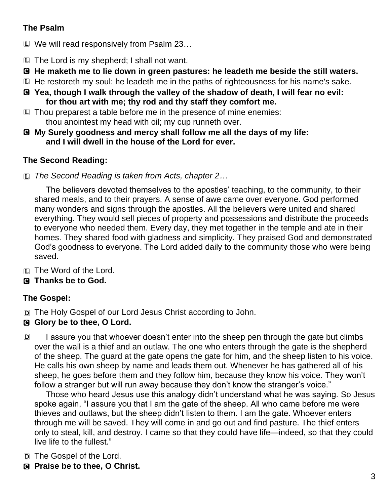## **The Psalm**

- L We will read responsively from Psalm 23…
- L The Lord is my shepherd; I shall not want.
- C **He maketh me to lie down in green pastures: he leadeth me beside the still waters.**
- L He restoreth my soul: he leadeth me in the paths of righteousness for his name's sake.
- C **Yea, though I walk through the valley of the shadow of death, I will fear no evil: for thou art with me; thy rod and thy staff they comfort me.**
- L Thou preparest a table before me in the presence of mine enemies: thou anointest my head with oil; my cup runneth over.
- C **My Surely goodness and mercy shall follow me all the days of my life: and I will dwell in the house of the Lord for ever.**

## **The Second Reading:**

L *The Second Reading is taken from Acts, chapter 2…*

The believers devoted themselves to the apostles' teaching, to the community, to their shared meals, and to their prayers. A sense of awe came over everyone. God performed many wonders and signs through the apostles. All the believers were united and shared everything. They would sell pieces of property and possessions and distribute the proceeds to everyone who needed them. Every day, they met together in the temple and ate in their homes. They shared food with gladness and simplicity. They praised God and demonstrated God's goodness to everyone. The Lord added daily to the community those who were being saved.

L The Word of the Lord.

## C **Thanks be to God.**

## **The Gospel:**

- D The Holy Gospel of our Lord Jesus Christ according to John.
- **G** Glory be to thee, O Lord.

D I assure you that whoever doesn't enter into the sheep pen through the gate but climbs over the wall is a thief and an outlaw. The one who enters through the gate is the shepherd of the sheep. The guard at the gate opens the gate for him, and the sheep listen to his voice. He calls his own sheep by name and leads them out. Whenever he has gathered all of his sheep, he goes before them and they follow him, because they know his voice. They won't follow a stranger but will run away because they don't know the stranger's voice."

Those who heard Jesus use this analogy didn't understand what he was saying. So Jesus spoke again, "I assure you that I am the gate of the sheep. All who came before me were thieves and outlaws, but the sheep didn't listen to them. I am the gate. Whoever enters through me will be saved. They will come in and go out and find pasture. The thief enters only to steal, kill, and destroy. I came so that they could have life—indeed, so that they could live life to the fullest."

- D The Gospel of the Lord.
- C **Praise be to thee, O Christ.**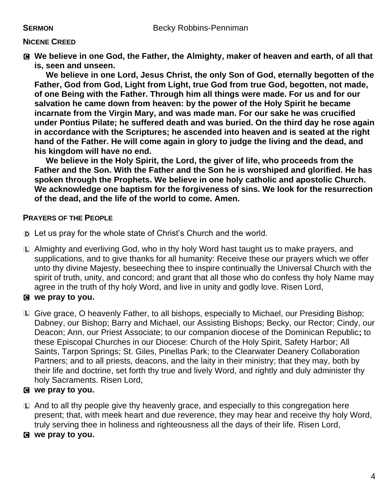#### **NICENE CREED**

C **We believe in one God, the Father, the Almighty, maker of heaven and earth, of all that is, seen and unseen.** 

**We believe in one Lord, Jesus Christ, the only Son of God, eternally begotten of the Father, God from God, Light from Light, true God from true God, begotten, not made, of one Being with the Father. Through him all things were made. For us and for our salvation he came down from heaven: by the power of the Holy Spirit he became incarnate from the Virgin Mary, and was made man. For our sake he was crucified under Pontius Pilate; he suffered death and was buried. On the third day he rose again in accordance with the Scriptures; he ascended into heaven and is seated at the right hand of the Father. He will come again in glory to judge the living and the dead, and his kingdom will have no end.**

**We believe in the Holy Spirit, the Lord, the giver of life, who proceeds from the Father and the Son. With the Father and the Son he is worshiped and glorified. He has spoken through the Prophets. We believe in one holy catholic and apostolic Church. We acknowledge one baptism for the forgiveness of sins. We look for the resurrection of the dead, and the life of the world to come. Amen.**

#### **PRAYERS OF THE PEOPLE**

- D Let us pray for the whole state of Christ's Church and the world.
- $\Box$  Almighty and everliving God, who in thy holy Word hast taught us to make prayers, and supplications, and to give thanks for all humanity: Receive these our prayers which we offer unto thy divine Majesty, beseeching thee to inspire continually the Universal Church with the spirit of truth, unity, and concord; and grant that all those who do confess thy holy Name may agree in the truth of thy holy Word, and live in unity and godly love. Risen Lord,
- C **we pray to you.**
- L Give grace, O heavenly Father, to all bishops, especially to Michael, our Presiding Bishop; Dabney, our Bishop; Barry and Michael, our Assisting Bishops; Becky, our Rector; Cindy, our Deacon; Ann, our Priest Associate; to our companion diocese of the Dominican Republic**;** to these Episcopal Churches in our Diocese: Church of the Holy Spirit, Safety Harbor; All Saints, Tarpon Springs; St. Giles, Pinellas Park; to the Clearwater Deanery Collaboration Partners; and to all priests, deacons, and the laity in their ministry; that they may, both by their life and doctrine, set forth thy true and lively Word, and rightly and duly administer thy holy Sacraments. Risen Lord,

#### C **we pray to you.**

- $E$  And to all thy people give thy heavenly grace, and especially to this congregation here present; that, with meek heart and due reverence, they may hear and receive thy holy Word, truly serving thee in holiness and righteousness all the days of their life. Risen Lord,
- C **we pray to you.**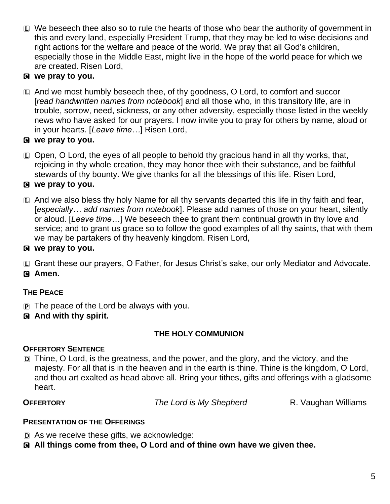$\Box$  We beseech thee also so to rule the hearts of those who bear the authority of government in this and every land, especially President Trump, that they may be led to wise decisions and right actions for the welfare and peace of the world. We pray that all God's children, especially those in the Middle East, might live in the hope of the world peace for which we are created. Risen Lord,

#### C **we pray to you.**

L And we most humbly beseech thee, of thy goodness, O Lord, to comfort and succor [*read handwritten names from notebook*] and all those who, in this transitory life, are in trouble, sorrow, need, sickness, or any other adversity, especially those listed in the weekly news who have asked for our prayers. I now invite you to pray for others by name, aloud or in your hearts. [*Leave time…*] Risen Lord,

#### C **we pray to you.**

 $\Box$  Open, O Lord, the eyes of all people to behold thy gracious hand in all thy works, that, rejoicing in thy whole creation, they may honor thee with their substance, and be faithful stewards of thy bounty. We give thanks for all the blessings of this life. Risen Lord,

#### C **we pray to you.**

 $\Box$  And we also bless thy holy Name for all thy servants departed this life in thy faith and fear, [*especially… add names from notebook*]. Please add names of those on your heart, silently or aloud. [*Leave time…*] We beseech thee to grant them continual growth in thy love and service; and to grant us grace so to follow the good examples of all thy saints, that with them we may be partakers of thy heavenly kingdom. Risen Lord,

#### C **we pray to you.**

L Grant these our prayers, O Father, for Jesus Christ's sake, our only Mediator and Advocate. C **Amen.**

#### **THE PEACE**

- $\mathbf{P}$  The peace of the Lord be always with you.
- C **And with thy spirit.**

#### **THE HOLY COMMUNION**

#### **OFFERTORY SENTENCE**

D Thine, O Lord, is the greatness, and the power, and the glory, and the victory, and the majesty. For all that is in the heaven and in the earth is thine. Thine is the kingdom, O Lord, and thou art exalted as head above all. Bring your tithes, gifts and offerings with a gladsome heart.

**OFFERTORY** *The Lord is My Shepherd* R. Vaughan Williams

#### **PRESENTATION OF THE OFFERINGS**

- D As we receive these gifts, we acknowledge:
- C **All things come from thee, O Lord and of thine own have we given thee.**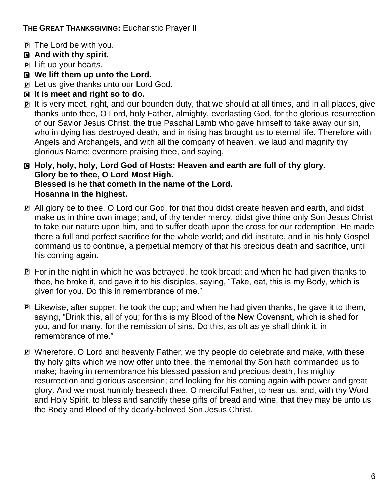### **THE GREAT THANKSGIVING:** Eucharistic Prayer II

- $\mathbf{P}$  The Lord be with you.
- C **And with thy spirit.**
- P Lift up your hearts.
- C **We lift them up unto the Lord.**
- P Let us give thanks unto our Lord God.
- C **It is meet and right so to do.**
- P It is very meet, right, and our bounden duty, that we should at all times, and in all places, give thanks unto thee, O Lord, holy Father, almighty, everlasting God, for the glorious resurrection of our Savior Jesus Christ, the true Paschal Lamb who gave himself to take away our sin, who in dying has destroyed death, and in rising has brought us to eternal life. Therefore with Angels and Archangels, and with all the company of heaven, we laud and magnify thy glorious Name; evermore praising thee, and saying,

#### C **Holy, holy, holy, Lord God of Hosts: Heaven and earth are full of thy glory. Glory be to thee, O Lord Most High. Blessed is he that cometh in the name of the Lord. Hosanna in the highest.**

- P All glory be to thee, O Lord our God, for that thou didst create heaven and earth, and didst make us in thine own image; and, of thy tender mercy, didst give thine only Son Jesus Christ to take our nature upon him, and to suffer death upon the cross for our redemption. He made there a full and perfect sacrifice for the whole world; and did institute, and in his holy Gospel command us to continue, a perpetual memory of that his precious death and sacrifice, until his coming again.
- P For in the night in which he was betrayed, he took bread; and when he had given thanks to thee, he broke it, and gave it to his disciples, saying, "Take, eat, this is my Body, which is given for you. Do this in remembrance of me."
- P Likewise, after supper, he took the cup; and when he had given thanks, he gave it to them, saying, "Drink this, all of you; for this is my Blood of the New Covenant, which is shed for you, and for many, for the remission of sins. Do this, as oft as ye shall drink it, in remembrance of me."
- P Wherefore, O Lord and heavenly Father, we thy people do celebrate and make, with these thy holy gifts which we now offer unto thee, the memorial thy Son hath commanded us to make; having in remembrance his blessed passion and precious death, his mighty resurrection and glorious ascension; and looking for his coming again with power and great glory. And we most humbly beseech thee, O merciful Father, to hear us, and, with thy Word and Holy Spirit, to bless and sanctify these gifts of bread and wine, that they may be unto us the Body and Blood of thy dearly-beloved Son Jesus Christ.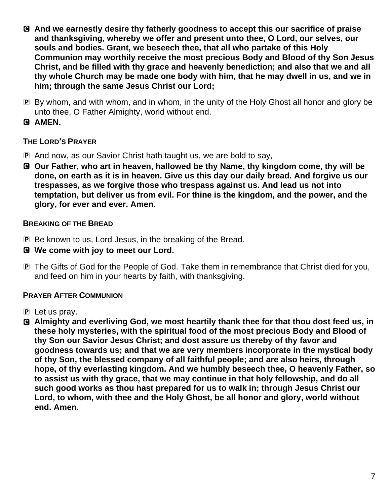- C **And we earnestly desire thy fatherly goodness to accept this our sacrifice of praise and thanksgiving, whereby we offer and present unto thee, O Lord, our selves, our souls and bodies. Grant, we beseech thee, that all who partake of this Holy Communion may worthily receive the most precious Body and Blood of thy Son Jesus Christ, and be filled with thy grace and heavenly benediction; and also that we and all thy whole Church may be made one body with him, that he may dwell in us, and we in him; through the same Jesus Christ our Lord;**
- P By whom, and with whom, and in whom, in the unity of the Holy Ghost all honor and glory be unto thee, O Father Almighty, world without end.
- C **AMEN.**

#### **THE LORD'S PRAYER**

- P And now, as our Savior Christ hath taught us, we are bold to say,
- C **Our Father, who art in heaven, hallowed be thy Name, thy kingdom come, thy will be done, on earth as it is in heaven. Give us this day our daily bread. And forgive us our trespasses, as we forgive those who trespass against us. And lead us not into temptation, but deliver us from evil. For thine is the kingdom, and the power, and the glory, for ever and ever. Amen.**

#### **BREAKING OF THE BREAD**

- P Be known to us, Lord Jesus, in the breaking of the Bread.
- C **We come with joy to meet our Lord.**
- P The Gifts of God for the People of God. Take them in remembrance that Christ died for you, and feed on him in your hearts by faith, with thanksgiving.

#### **PRAYER AFTER COMMUNION**

- P Let us pray.
- C **Almighty and everliving God, we most heartily thank thee for that thou dost feed us, in these holy mysteries, with the spiritual food of the most precious Body and Blood of thy Son our Savior Jesus Christ; and dost assure us thereby of thy favor and goodness towards us; and that we are very members incorporate in the mystical body of thy Son, the blessed company of all faithful people; and are also heirs, through hope, of thy everlasting kingdom. And we humbly beseech thee, O heavenly Father, so to assist us with thy grace, that we may continue in that holy fellowship, and do all such good works as thou hast prepared for us to walk in; through Jesus Christ our Lord, to whom, with thee and the Holy Ghost, be all honor and glory, world without end. Amen.**